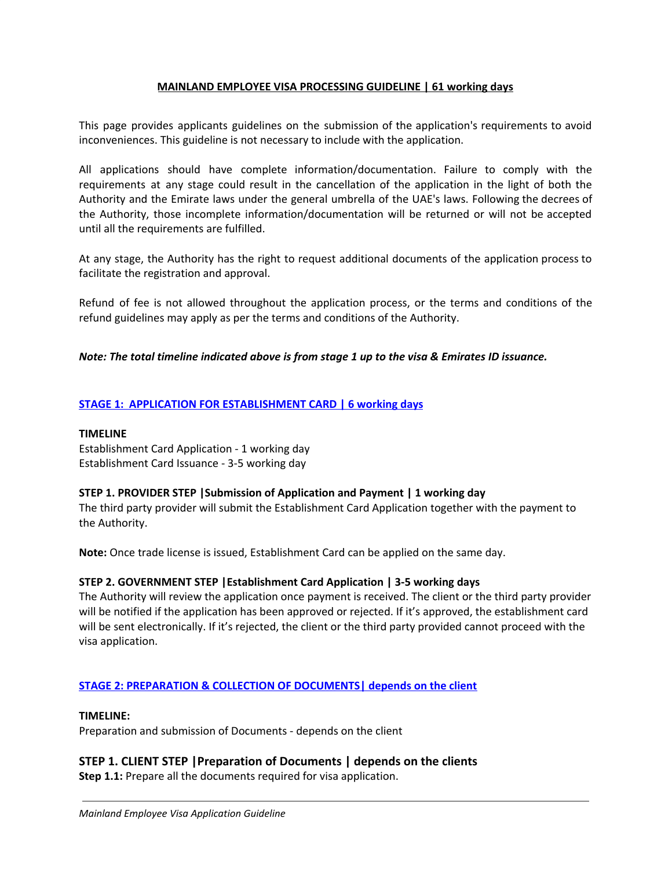# **MAINLAND EMPLOYEE VISA PROCESSING GUIDELINE | 61 working days**

This page provides applicants guidelines on the submission of the application's requirements to avoid inconveniences. This guideline is not necessary to include with the application.

All applications should have complete information/documentation. Failure to comply with the requirements at any stage could result in the cancellation of the application in the light of both the Authority and the Emirate laws under the general umbrella of the UAE's laws. Following the decrees of the Authority, those incomplete information/documentation will be returned or will not be accepted until all the requirements are fulfilled.

At any stage, the Authority has the right to request additional documents of the application process to facilitate the registration and approval.

Refund of fee is not allowed throughout the application process, or the terms and conditions of the refund guidelines may apply as per the terms and conditions of the Authority.

# *Note: The total timeline indicated above is from stage 1 up to the visa & Emirates ID issuance.*

# **STAGE 1: APPLICATION FOR ESTABLISHMENT CARD | 6 working days**

#### **TIMELINE**

Establishment Card Application - 1 working day Establishment Card Issuance - 3-5 working day

## **STEP 1. PROVIDER STEP |Submission of Application and Payment | 1 working day**

The third party provider will submit the Establishment Card Application together with the payment to the Authority.

**Note:** Once trade license is issued, Establishment Card can be applied on the same day.

## **STEP 2. GOVERNMENT STEP |Establishment Card Application | 3-5 working days**

The Authority will review the application once payment is received. The client or the third party provider will be notified if the application has been approved or rejected. If it's approved, the establishment card will be sent electronically. If it's rejected, the client or the third party provided cannot proceed with the visa application.

## **STAGE 2: PREPARATION & COLLECTION OF DOCUMENTS| depends on the client**

#### **TIMELINE:**

Preparation and submission of Documents - depends on the client

# **STEP 1. CLIENT STEP |Preparation of Documents | depends on the clients**

**Step 1.1:** Prepare all the documents required for visa application.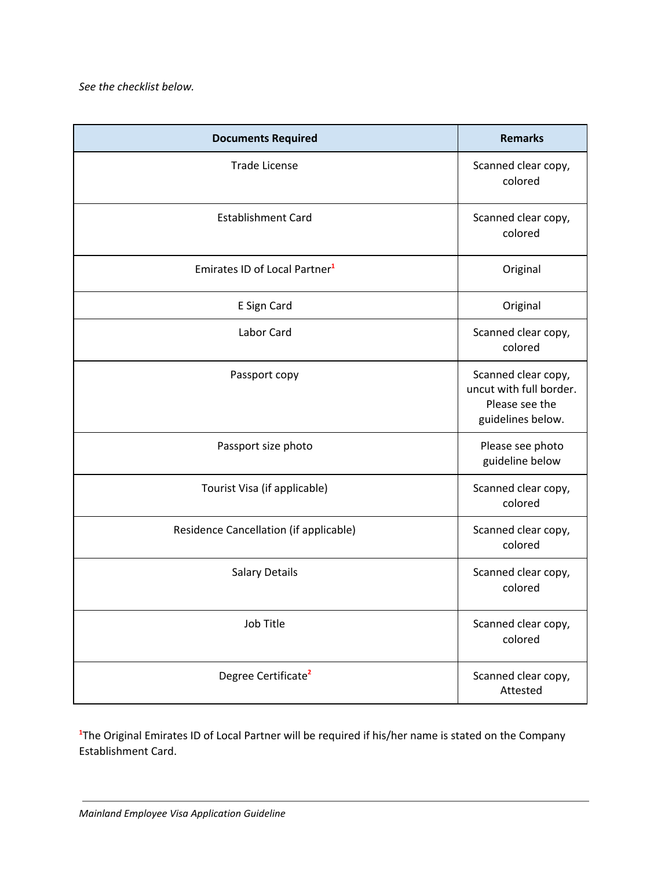| <b>Documents Required</b>                 | <b>Remarks</b>                                                                        |
|-------------------------------------------|---------------------------------------------------------------------------------------|
| <b>Trade License</b>                      | Scanned clear copy,<br>colored                                                        |
| <b>Establishment Card</b>                 | Scanned clear copy,<br>colored                                                        |
| Emirates ID of Local Partner <sup>1</sup> | Original                                                                              |
| E Sign Card                               | Original                                                                              |
| Labor Card                                | Scanned clear copy,<br>colored                                                        |
| Passport copy                             | Scanned clear copy,<br>uncut with full border.<br>Please see the<br>guidelines below. |
| Passport size photo                       | Please see photo<br>guideline below                                                   |
| Tourist Visa (if applicable)              | Scanned clear copy,<br>colored                                                        |
| Residence Cancellation (if applicable)    | Scanned clear copy,<br>colored                                                        |
| <b>Salary Details</b>                     | Scanned clear copy,<br>colored                                                        |
| Job Title                                 | Scanned clear copy,<br>colored                                                        |
| Degree Certificate <sup>2</sup>           | Scanned clear copy,<br>Attested                                                       |

<sup>1</sup>The Original Emirates ID of Local Partner will be required if his/her name is stated on the Company Establishment Card.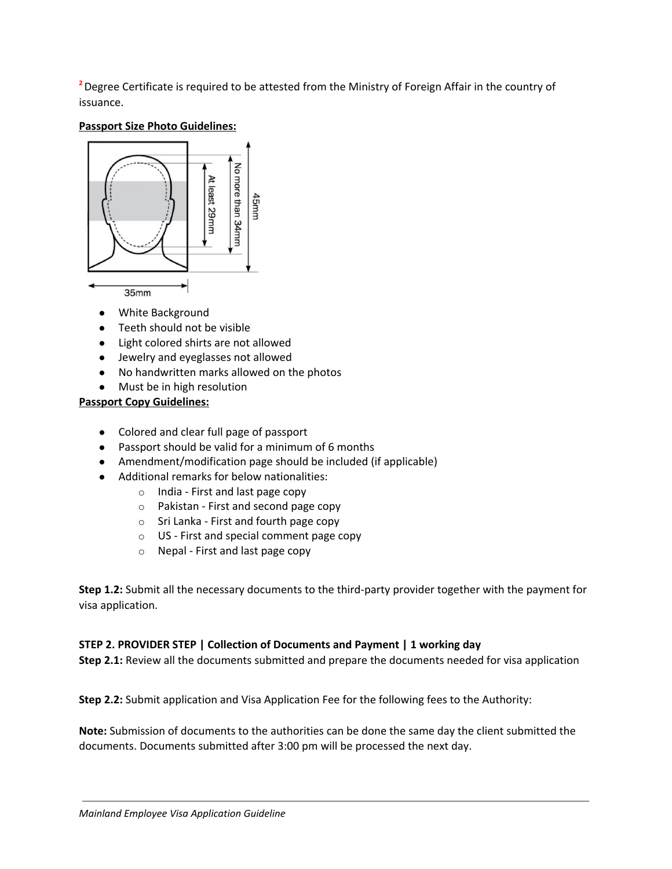**<sup>2</sup>**Degree Certificate is required to be attested from the Ministry of Foreign Affair in the country of issuance.

# **Passport Size Photo Guidelines:**



- **●** White Background
- **●** Teeth should not be visible
- **●** Light colored shirts are not allowed
- **●** Jewelry and eyeglasses not allowed
- **●** No handwritten marks allowed on the photos
- **●** Must be in high resolution

# **Passport Copy Guidelines:**

- Colored and clear full page of passport
- Passport should be valid for a minimum of 6 months
- Amendment/modification page should be included (if applicable)
- Additional remarks for below nationalities:
	- o India First and last page copy
	- o Pakistan First and second page copy
	- o Sri Lanka First and fourth page copy
	- o US First and special comment page copy
	- o Nepal First and last page copy

**Step 1.2:** Submit all the necessary documents to the third-party provider together with the payment for visa application.

## **STEP 2. PROVIDER STEP | Collection of Documents and Payment | 1 working day**

**Step 2.1:** Review all the documents submitted and prepare the documents needed for visa application

**Step 2.2:** Submit application and Visa Application Fee for the following fees to the Authority:

**Note:** Submission of documents to the authorities can be done the same day the client submitted the documents. Documents submitted after 3:00 pm will be processed the next day.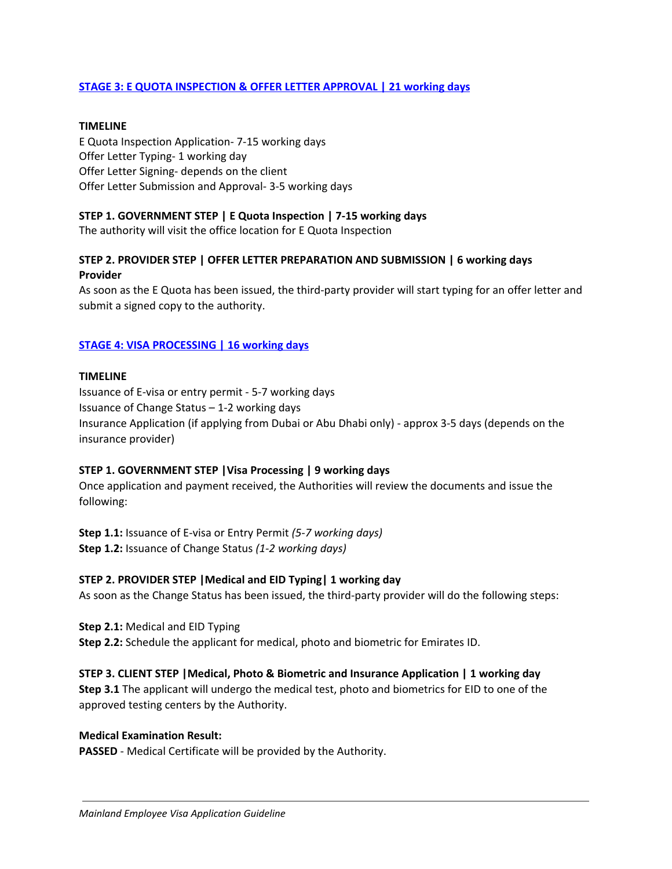# **STAGE 3: E QUOTA INSPECTION & OFFER LETTER APPROVAL | 21 working days**

# **TIMELINE**

E Quota Inspection Application- 7-15 working days Offer Letter Typing- 1 working day Offer Letter Signing- depends on the client Offer Letter Submission and Approval- 3-5 working days

# **STEP 1. GOVERNMENT STEP | E Quota Inspection | 7-15 working days**

The authority will visit the office location for E Quota Inspection

# **STEP 2. PROVIDER STEP | OFFER LETTER PREPARATION AND SUBMISSION | 6 working days Provider**

As soon as the E Quota has been issued, the third-party provider will start typing for an offer letter and submit a signed copy to the authority.

# **STAGE 4: VISA PROCESSING | 16 working days**

## **TIMELINE**

Issuance of E-visa or entry permit - 5-7 working days Issuance of Change Status – 1-2 working days Insurance Application (if applying from Dubai or Abu Dhabi only) - approx 3-5 days (depends on the insurance provider)

## **STEP 1. GOVERNMENT STEP |Visa Processing | 9 working days**

Once application and payment received, the Authorities will review the documents and issue the following:

**Step 1.1:** Issuance of E-visa or Entry Permit *(5-7 working days)* **Step 1.2:** Issuance of Change Status *(1-2 working days)*

# **STEP 2. PROVIDER STEP |Medical and EID Typing| 1 working day**

As soon as the Change Status has been issued, the third-party provider will do the following steps:

**Step 2.1:** Medical and EID Typing **Step 2.2:** Schedule the applicant for medical, photo and biometric for Emirates ID.

# **STEP 3. CLIENT STEP |Medical, Photo & Biometric and Insurance Application | 1 working day**

**Step 3.1** The applicant will undergo the medical test, photo and biometrics for EID to one of the approved testing centers by the Authority.

## **Medical Examination Result:**

**PASSED** - Medical Certificate will be provided by the Authority.